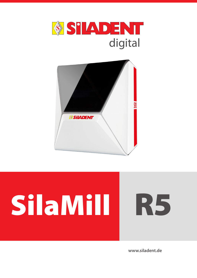



# SilaMill R5

www.siladent.de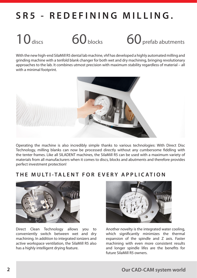# **SR5 - REDEFINING MILLING.**



10 discs 60 blocks 60 prefab abutments

With the new high-end SilaMill R5 dental lab machine, vhf has developed a highly automated milling and grinding machine with a tenfold blank changer for both wet and dry machining, bringing revolutionary approaches to the lab. It combines utmost precision with maximum stability regardless of material – all with a minimal footprint.



Operating the machine is also incredibly simple thanks to various technologies: With Direct Disc Technology, milling blanks can now be processed directly without any cumbersome fiddling with the tenter frames. Like all SILADENT machines, the SilaMill R5 can be used with a maximum variety of materials from all manufacturers when it comes to discs, blocks and abutments and therefore provides perfect investment protection!

## **THE MULTI-TALENT FOR E VERY APPLIC ATION**



Direct Clean Technology allows you to conveniently switch between wet and dry machining. In addition to integrated ionizers and active workspace ventilation, the SilaMill R5 also has a highly intelligent drying feature.



Another novelty is the integrated water cooling, which significantly minimizes the thermal expansion of the spindle and Z axis. Faster machining with even more consistent results and longer spindle lifes are the benefits for future SilaMill R5 owners.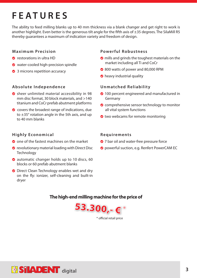# **FEATURES**

The ability to feed milling blanks up to 40 mm thickness via a blank changer and get right to work is another highlight. Even better is the generous tilt angle for the fifth axis of  $\pm 35$  degrees. The SilaMill R5 thereby guarantees a maximum of indication variety and freedom of design.

### **Maximum Precision**

- **O** restorations in ultra HD
- water-cooled high-precision spindle
- <sup>2</sup> 3 microns repetition accuracy

### **Absolute Independence**

- sheer unlimited material accessibility in 98 mm disc format, 30 block materials, and >140 titanium and CoCr prefab abutment platforms
- **◯** covers the broadest range of indications, due to  $\pm$ 35 $^{\circ}$  rotation angle in the 5th axis, and up to 40 mm blanks

### **Highly Economical**

- $\bullet$  one of the fastest machines on the market
- **O** revolutionary material loading with Direct Disc **Technology**
- **automatic changer holds up to 10 discs, 60** blocks or 60 prefab abutment blanks
- **◯** Direct Clean Technology enables wet and dry on the fly: ionizer, self-cleaning and built-in dryer

### **Powerful Robustness**

- **O** mills and grinds the toughest materials on the market including all Ti and CoCr
- **◆ 800 watts of power and 80,000 RPM**
- **•** heavy industrial quality

### **Unmatched Reliability**

- **2** 100 percent engineered and manufactured in Germany
- **O** comprehensive sensor technology to monitor all vital system functions
- **◆** two webcams for remote monitoring

### **Requirements**

- **◆** 7 bar oil and water-free pressure force
- **O** powerful suction, e.g. Renfert PowerCAM EC

### **The high-end milling machine for the price of**



\* official retail price